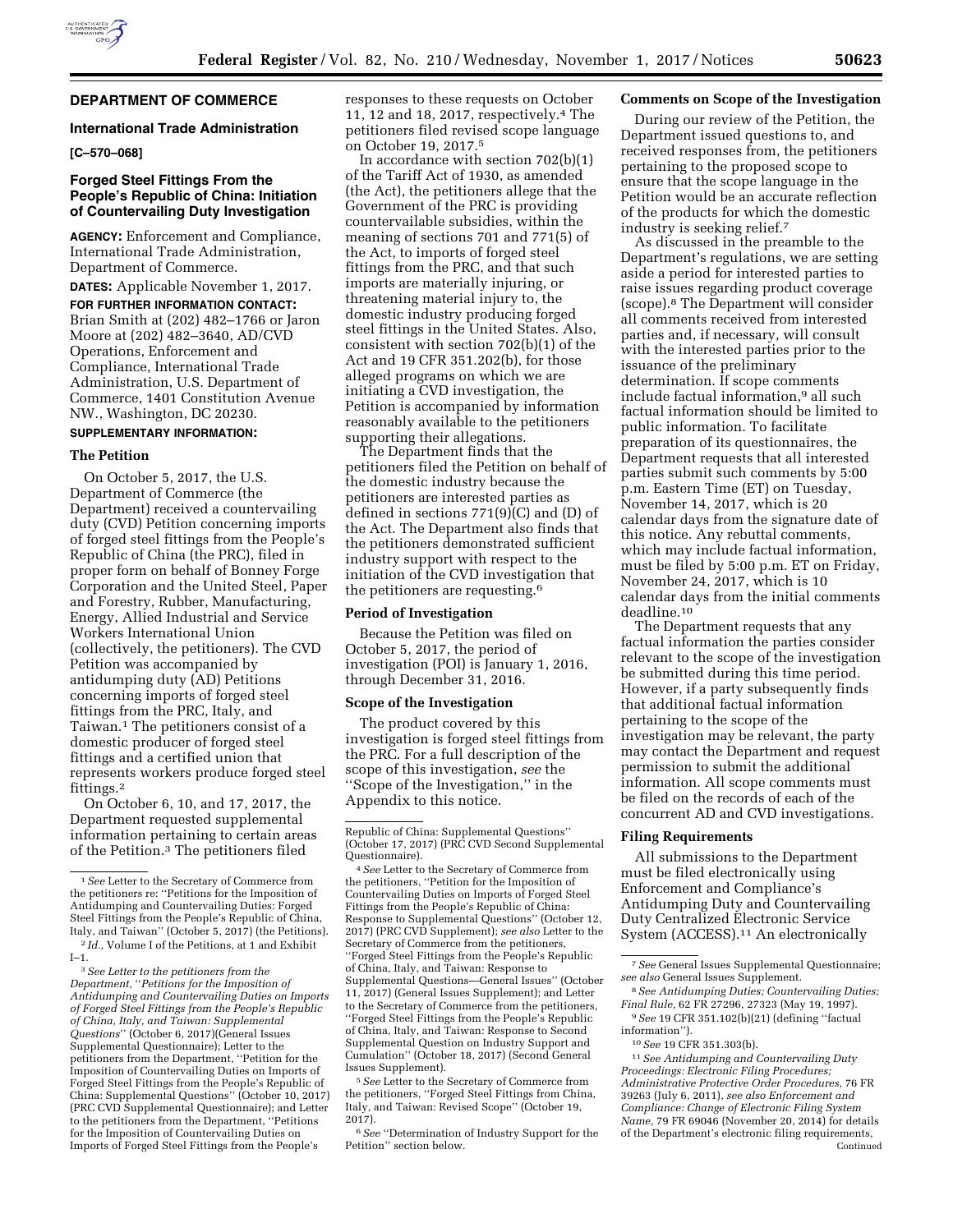

## **DEPARTMENT OF COMMERCE**

### **International Trade Administration**

**[C–570–068]** 

## **Forged Steel Fittings From the People's Republic of China: Initiation of Countervailing Duty Investigation**

**AGENCY:** Enforcement and Compliance, International Trade Administration, Department of Commerce.

**DATES:** Applicable November 1, 2017.

**FOR FURTHER INFORMATION CONTACT:**  Brian Smith at (202) 482–1766 or Jaron Moore at (202) 482–3640, AD/CVD Operations, Enforcement and Compliance, International Trade Administration, U.S. Department of Commerce, 1401 Constitution Avenue NW., Washington, DC 20230.

# **SUPPLEMENTARY INFORMATION:**

## **The Petition**

On October 5, 2017, the U.S. Department of Commerce (the Department) received a countervailing duty (CVD) Petition concerning imports of forged steel fittings from the People's Republic of China (the PRC), filed in proper form on behalf of Bonney Forge Corporation and the United Steel, Paper and Forestry, Rubber, Manufacturing, Energy, Allied Industrial and Service Workers International Union (collectively, the petitioners). The CVD Petition was accompanied by antidumping duty (AD) Petitions concerning imports of forged steel fittings from the PRC, Italy, and Taiwan.1 The petitioners consist of a domestic producer of forged steel fittings and a certified union that represents workers produce forged steel fittings.2

On October 6, 10, and 17, 2017, the Department requested supplemental information pertaining to certain areas of the Petition.3 The petitioners filed

responses to these requests on October 11, 12 and 18, 2017, respectively.4 The petitioners filed revised scope language on October 19, 2017.5

In accordance with section 702(b)(1) of the Tariff Act of 1930, as amended (the Act), the petitioners allege that the Government of the PRC is providing countervailable subsidies, within the meaning of sections 701 and 771(5) of the Act, to imports of forged steel fittings from the PRC, and that such imports are materially injuring, or threatening material injury to, the domestic industry producing forged steel fittings in the United States. Also, consistent with section 702(b)(1) of the Act and 19 CFR 351.202(b), for those alleged programs on which we are initiating a CVD investigation, the Petition is accompanied by information reasonably available to the petitioners supporting their allegations.

The Department finds that the petitioners filed the Petition on behalf of the domestic industry because the petitioners are interested parties as defined in sections 771(9)(C) and (D) of the Act. The Department also finds that the petitioners demonstrated sufficient industry support with respect to the initiation of the CVD investigation that the petitioners are requesting.6

### **Period of Investigation**

Because the Petition was filed on October 5, 2017, the period of investigation (POI) is January 1, 2016, through December 31, 2016.

#### **Scope of the Investigation**

The product covered by this investigation is forged steel fittings from the PRC. For a full description of the scope of this investigation, *see* the ''Scope of the Investigation,'' in the Appendix to this notice.

5*See* Letter to the Secretary of Commerce from the petitioners, ''Forged Steel Fittings from China, Italy, and Taiwan: Revised Scope'' (October 19, 2017).

6*See* ''Determination of Industry Support for the Petition'' section below.

## **Comments on Scope of the Investigation**

During our review of the Petition, the Department issued questions to, and received responses from, the petitioners pertaining to the proposed scope to ensure that the scope language in the Petition would be an accurate reflection of the products for which the domestic industry is seeking relief.7

As discussed in the preamble to the Department's regulations, we are setting aside a period for interested parties to raise issues regarding product coverage (scope).8 The Department will consider all comments received from interested parties and, if necessary, will consult with the interested parties prior to the issuance of the preliminary determination. If scope comments include factual information,9 all such factual information should be limited to public information. To facilitate preparation of its questionnaires, the Department requests that all interested parties submit such comments by 5:00 p.m. Eastern Time (ET) on Tuesday, November 14, 2017, which is 20 calendar days from the signature date of this notice. Any rebuttal comments, which may include factual information, must be filed by 5:00 p.m. ET on Friday, November 24, 2017, which is 10 calendar days from the initial comments deadline.10

The Department requests that any factual information the parties consider relevant to the scope of the investigation be submitted during this time period. However, if a party subsequently finds that additional factual information pertaining to the scope of the investigation may be relevant, the party may contact the Department and request permission to submit the additional information. All scope comments must be filed on the records of each of the concurrent AD and CVD investigations.

## **Filing Requirements**

All submissions to the Department must be filed electronically using Enforcement and Compliance's Antidumping Duty and Countervailing Duty Centralized Electronic Service System (ACCESS).11 An electronically

11*See Antidumping and Countervailing Duty Proceedings: Electronic Filing Procedures; Administrative Protective Order Procedures,* 76 FR 39263 (July 6, 2011), *see also Enforcement and Compliance: Change of Electronic Filing System Name,* 79 FR 69046 (November 20, 2014) for details of the Department's electronic filing requirements, Continued

<sup>1</sup>*See* Letter to the Secretary of Commerce from the petitioners re: ''Petitions for the Imposition of Antidumping and Countervailing Duties: Forged Steel Fittings from the People's Republic of China, Italy, and Taiwan'' (October 5, 2017) (the Petitions).

<sup>2</sup> *Id.,* Volume I of the Petitions, at 1 and Exhibit I–1.

<sup>3</sup>*See Letter to the petitioners from the Department,* ''*Petitions for the Imposition of Antidumping and Countervailing Duties on Imports of Forged Steel Fittings from the People's Republic of China, Italy, and Taiwan: Supplemental Questions*'' (October 6, 2017)(General Issues Supplemental Questionnaire); Letter to the petitioners from the Department, ''Petition for the Imposition of Countervailing Duties on Imports of Forged Steel Fittings from the People's Republic of China: Supplemental Questions'' (October 10, 2017) (PRC CVD Supplemental Questionnaire); and Letter to the petitioners from the Department, ''Petitions for the Imposition of Countervailing Duties on Imports of Forged Steel Fittings from the People's

Republic of China: Supplemental Questions'' (October 17, 2017) (PRC CVD Second Supplemental Questionnaire).

<sup>4</sup>*See* Letter to the Secretary of Commerce from the petitioners, ''Petition for the Imposition of Countervailing Duties on Imports of Forged Steel Fittings from the People's Republic of China: Response to Supplemental Questions'' (October 12, 2017) (PRC CVD Supplement); *see also* Letter to the Secretary of Commerce from the petitioners, ''Forged Steel Fittings from the People's Republic of China, Italy, and Taiwan: Response to Supplemental Questions—General Issues'' (October 11, 2017) (General Issues Supplement); and Letter to the Secretary of Commerce from the petitioners, ''Forged Steel Fittings from the People's Republic of China, Italy, and Taiwan: Response to Second Supplemental Question on Industry Support and Cumulation'' (October 18, 2017) (Second General Issues Supplement).

<sup>7</sup>*See* General Issues Supplemental Questionnaire; *see also* General Issues Supplement.

<sup>8</sup>*See Antidumping Duties; Countervailing Duties; Final Rule,* 62 FR 27296, 27323 (May 19, 1997).

<sup>9</sup>*See* 19 CFR 351.102(b)(21) (defining ''factual information'').

<sup>10</sup>*See* 19 CFR 351.303(b).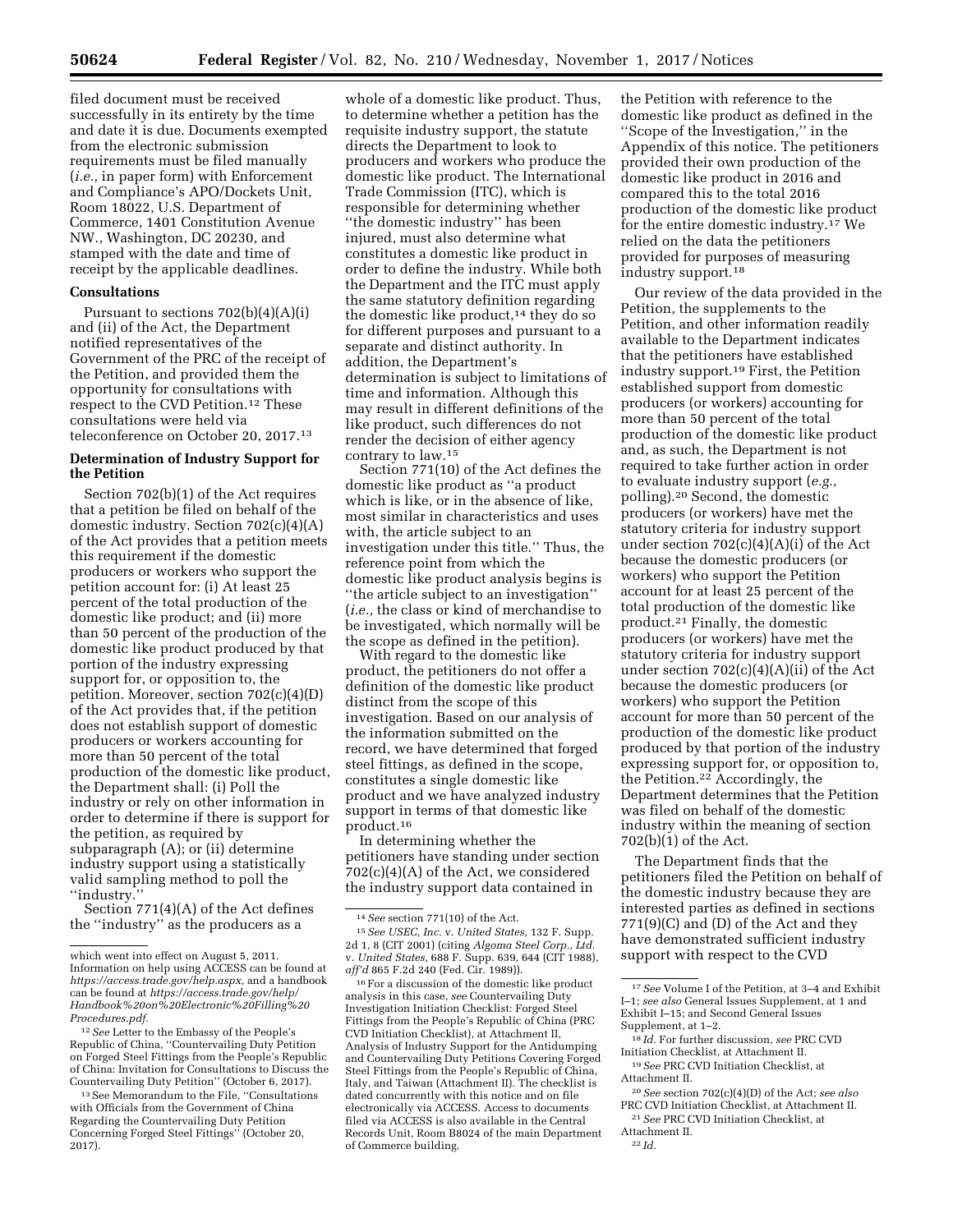filed document must be received successfully in its entirety by the time and date it is due. Documents exempted from the electronic submission requirements must be filed manually (*i.e.,* in paper form) with Enforcement and Compliance's APO/Dockets Unit, Room 18022, U.S. Department of Commerce, 1401 Constitution Avenue NW., Washington, DC 20230, and stamped with the date and time of receipt by the applicable deadlines.

### **Consultations**

Pursuant to sections  $702(b)(4)(A)(i)$ and (ii) of the Act, the Department notified representatives of the Government of the PRC of the receipt of the Petition, and provided them the opportunity for consultations with respect to the CVD Petition.12 These consultations were held via teleconference on October 20, 2017.13

## **Determination of Industry Support for the Petition**

Section 702(b)(1) of the Act requires that a petition be filed on behalf of the domestic industry. Section 702(c)(4)(A) of the Act provides that a petition meets this requirement if the domestic producers or workers who support the petition account for: (i) At least 25 percent of the total production of the domestic like product; and (ii) more than 50 percent of the production of the domestic like product produced by that portion of the industry expressing support for, or opposition to, the petition. Moreover, section 702(c)(4)(D) of the Act provides that, if the petition does not establish support of domestic producers or workers accounting for more than 50 percent of the total production of the domestic like product, the Department shall: (i) Poll the industry or rely on other information in order to determine if there is support for the petition, as required by subparagraph (A); or (ii) determine industry support using a statistically valid sampling method to poll the ''industry.''

Section 771(4)(A) of the Act defines the ''industry'' as the producers as a

12*See* Letter to the Embassy of the People's Republic of China, ''Countervailing Duty Petition on Forged Steel Fittings from the People's Republic of China: Invitation for Consultations to Discuss the Countervailing Duty Petition'' (October 6, 2017).

whole of a domestic like product. Thus, to determine whether a petition has the requisite industry support, the statute directs the Department to look to producers and workers who produce the domestic like product. The International Trade Commission (ITC), which is responsible for determining whether ''the domestic industry'' has been injured, must also determine what constitutes a domestic like product in order to define the industry. While both the Department and the ITC must apply the same statutory definition regarding the domestic like product,<sup>14</sup> they do so for different purposes and pursuant to a separate and distinct authority. In addition, the Department's determination is subject to limitations of time and information. Although this may result in different definitions of the like product, such differences do not render the decision of either agency contrary to law.15

Section 771(10) of the Act defines the domestic like product as ''a product which is like, or in the absence of like, most similar in characteristics and uses with, the article subject to an investigation under this title.'' Thus, the reference point from which the domestic like product analysis begins is ''the article subject to an investigation'' (*i.e.,* the class or kind of merchandise to be investigated, which normally will be the scope as defined in the petition).

With regard to the domestic like product, the petitioners do not offer a definition of the domestic like product distinct from the scope of this investigation. Based on our analysis of the information submitted on the record, we have determined that forged steel fittings, as defined in the scope, constitutes a single domestic like product and we have analyzed industry support in terms of that domestic like product.16

In determining whether the petitioners have standing under section 702(c)(4)(A) of the Act, we considered the industry support data contained in

16For a discussion of the domestic like product analysis in this case, *see* Countervailing Duty Investigation Initiation Checklist: Forged Steel Fittings from the People's Republic of China (PRC CVD Initiation Checklist), at Attachment II, Analysis of Industry Support for the Antidumping and Countervailing Duty Petitions Covering Forged Steel Fittings from the People's Republic of China, Italy, and Taiwan (Attachment II). The checklist is dated concurrently with this notice and on file electronically via ACCESS. Access to documents filed via ACCESS is also available in the Central Records Unit, Room B8024 of the main Department of Commerce building.

the Petition with reference to the domestic like product as defined in the ''Scope of the Investigation,'' in the Appendix of this notice. The petitioners provided their own production of the domestic like product in 2016 and compared this to the total 2016 production of the domestic like product for the entire domestic industry.17 We relied on the data the petitioners provided for purposes of measuring industry support.18

Our review of the data provided in the Petition, the supplements to the Petition, and other information readily available to the Department indicates that the petitioners have established industry support.19 First, the Petition established support from domestic producers (or workers) accounting for more than 50 percent of the total production of the domestic like product and, as such, the Department is not required to take further action in order to evaluate industry support (*e.g.,*  polling).20 Second, the domestic producers (or workers) have met the statutory criteria for industry support under section 702(c)(4)(A)(i) of the Act because the domestic producers (or workers) who support the Petition account for at least 25 percent of the total production of the domestic like product.21 Finally, the domestic producers (or workers) have met the statutory criteria for industry support under section 702(c)(4)(A)(ii) of the Act because the domestic producers (or workers) who support the Petition account for more than 50 percent of the production of the domestic like product produced by that portion of the industry expressing support for, or opposition to, the Petition.22 Accordingly, the Department determines that the Petition was filed on behalf of the domestic industry within the meaning of section 702(b)(1) of the Act.

The Department finds that the petitioners filed the Petition on behalf of the domestic industry because they are interested parties as defined in sections 771(9)(C) and (D) of the Act and they have demonstrated sufficient industry support with respect to the CVD

which went into effect on August 5, 2011. Information on help using ACCESS can be found at *[https://access.trade.gov/help.aspx,](https://access.trade.gov/help.aspx)* and a handbook can be found at *[https://access.trade.gov/help/](https://access.trade.gov/help/Handbook%20on%20Electronic%20Filling%20Procedures.pdf)  [Handbook%20on%20Electronic%20Filling%20](https://access.trade.gov/help/Handbook%20on%20Electronic%20Filling%20Procedures.pdf) [Procedures.pdf.](https://access.trade.gov/help/Handbook%20on%20Electronic%20Filling%20Procedures.pdf)* 

<sup>13</sup>See Memorandum to the File, ''Consultations with Officials from the Government of China Regarding the Countervailing Duty Petition Concerning Forged Steel Fittings'' (October 20, 2017).

<sup>14</sup>*See* section 771(10) of the Act.

<sup>15</sup>*See USEC, Inc.* v. *United States,* 132 F. Supp. 2d 1, 8 (CIT 2001) (citing *Algoma Steel Corp., Ltd.*  v. *United States,* 688 F. Supp. 639, 644 (CIT 1988), *aff'd* 865 F.2d 240 (Fed. Cir. 1989)).

<sup>17</sup>*See* Volume I of the Petition, at 3–4 and Exhibit I–1; *see also* General Issues Supplement, at 1 and Exhibit I–15; and Second General Issues Supplement, at 1–2.

<sup>18</sup> *Id.* For further discussion, *see* PRC CVD Initiation Checklist, at Attachment II.

<sup>19</sup>*See* PRC CVD Initiation Checklist, at Attachment II.

<sup>20</sup>*See* section 702(c)(4)(D) of the Act; *see also*  PRC CVD Initiation Checklist, at Attachment II.

<sup>21</sup>*See* PRC CVD Initiation Checklist, at Attachment II.

<sup>22</sup> *Id.*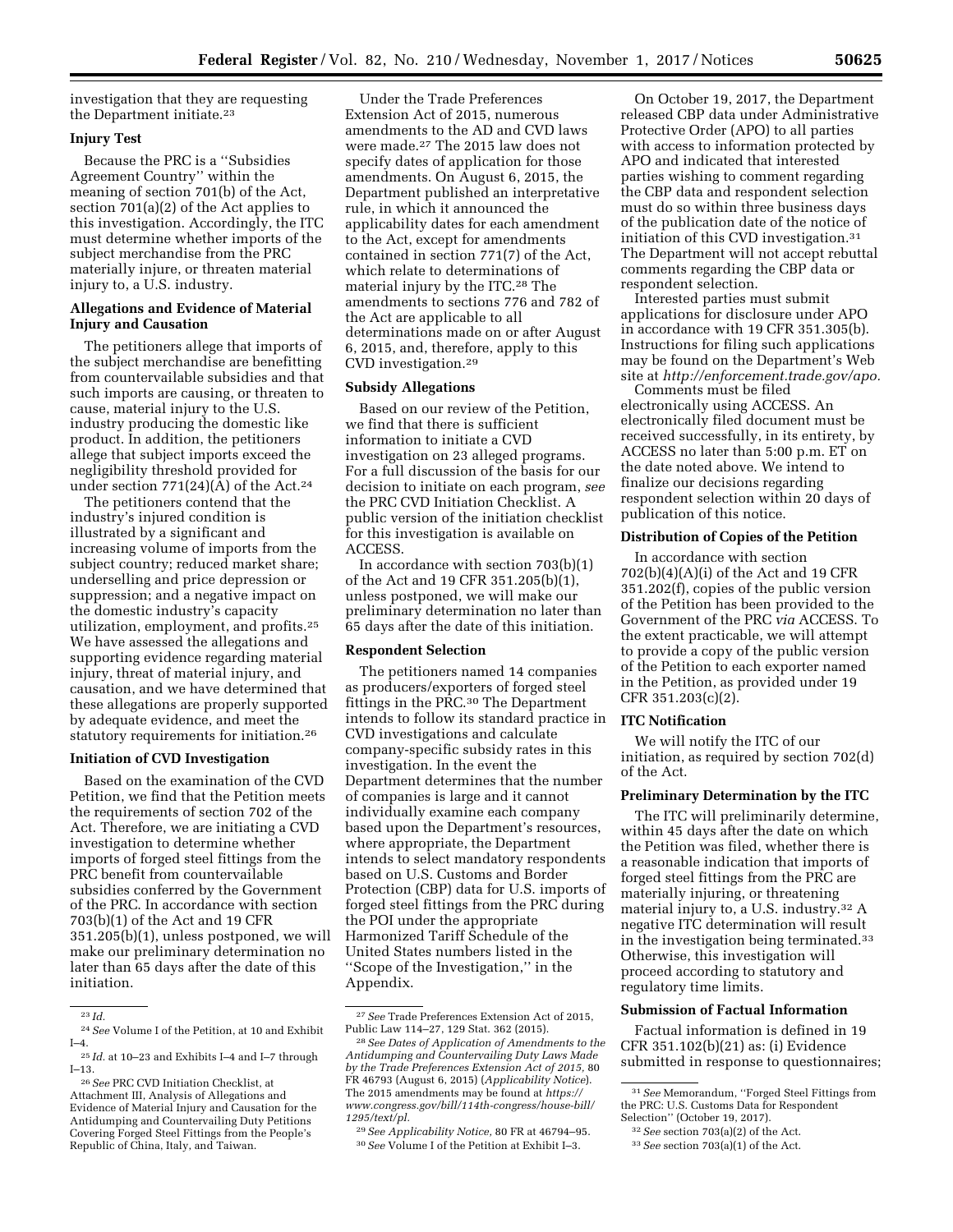investigation that they are requesting the Department initiate.23

## **Injury Test**

Because the PRC is a ''Subsidies Agreement Country'' within the meaning of section 701(b) of the Act, section 701(a)(2) of the Act applies to this investigation. Accordingly, the ITC must determine whether imports of the subject merchandise from the PRC materially injure, or threaten material injury to, a U.S. industry.

## **Allegations and Evidence of Material Injury and Causation**

The petitioners allege that imports of the subject merchandise are benefitting from countervailable subsidies and that such imports are causing, or threaten to cause, material injury to the U.S. industry producing the domestic like product. In addition, the petitioners allege that subject imports exceed the negligibility threshold provided for under section 771(24)(A) of the Act.<sup>24</sup>

The petitioners contend that the industry's injured condition is illustrated by a significant and increasing volume of imports from the subject country; reduced market share; underselling and price depression or suppression; and a negative impact on the domestic industry's capacity utilization, employment, and profits.25 We have assessed the allegations and supporting evidence regarding material injury, threat of material injury, and causation, and we have determined that these allegations are properly supported by adequate evidence, and meet the statutory requirements for initiation.26

## **Initiation of CVD Investigation**

Based on the examination of the CVD Petition, we find that the Petition meets the requirements of section 702 of the Act. Therefore, we are initiating a CVD investigation to determine whether imports of forged steel fittings from the PRC benefit from countervailable subsidies conferred by the Government of the PRC. In accordance with section 703(b)(1) of the Act and 19 CFR 351.205(b)(1), unless postponed, we will make our preliminary determination no later than 65 days after the date of this initiation.

Under the Trade Preferences Extension Act of 2015, numerous amendments to the AD and CVD laws were made.27 The 2015 law does not specify dates of application for those amendments. On August 6, 2015, the Department published an interpretative rule, in which it announced the applicability dates for each amendment to the Act, except for amendments contained in section 771(7) of the Act, which relate to determinations of material injury by the ITC.28 The amendments to sections 776 and 782 of the Act are applicable to all determinations made on or after August 6, 2015, and, therefore, apply to this CVD investigation.29

#### **Subsidy Allegations**

Based on our review of the Petition, we find that there is sufficient information to initiate a CVD investigation on 23 alleged programs. For a full discussion of the basis for our decision to initiate on each program, *see*  the PRC CVD Initiation Checklist. A public version of the initiation checklist for this investigation is available on ACCESS.

In accordance with section 703(b)(1) of the Act and 19 CFR 351.205(b)(1), unless postponed, we will make our preliminary determination no later than 65 days after the date of this initiation.

#### **Respondent Selection**

The petitioners named 14 companies as producers/exporters of forged steel fittings in the PRC.30 The Department intends to follow its standard practice in CVD investigations and calculate company-specific subsidy rates in this investigation. In the event the Department determines that the number of companies is large and it cannot individually examine each company based upon the Department's resources, where appropriate, the Department intends to select mandatory respondents based on U.S. Customs and Border Protection (CBP) data for U.S. imports of forged steel fittings from the PRC during the POI under the appropriate Harmonized Tariff Schedule of the United States numbers listed in the ''Scope of the Investigation,'' in the Appendix.

29*See Applicability Notice,* 80 FR at 46794–95. 30*See* Volume I of the Petition at Exhibit I–3.

On October 19, 2017, the Department released CBP data under Administrative Protective Order (APO) to all parties with access to information protected by APO and indicated that interested parties wishing to comment regarding the CBP data and respondent selection must do so within three business days of the publication date of the notice of initiation of this CVD investigation.31 The Department will not accept rebuttal comments regarding the CBP data or respondent selection.

Interested parties must submit applications for disclosure under APO in accordance with 19 CFR 351.305(b). Instructions for filing such applications may be found on the Department's Web site at *[http://enforcement.trade.gov/apo.](http://enforcement.trade.gov/apo)* 

Comments must be filed electronically using ACCESS. An electronically filed document must be received successfully, in its entirety, by ACCESS no later than 5:00 p.m. ET on the date noted above. We intend to finalize our decisions regarding respondent selection within 20 days of publication of this notice.

## **Distribution of Copies of the Petition**

In accordance with section 702(b)(4)(A)(i) of the Act and 19 CFR 351.202(f), copies of the public version of the Petition has been provided to the Government of the PRC *via* ACCESS. To the extent practicable, we will attempt to provide a copy of the public version of the Petition to each exporter named in the Petition, as provided under 19 CFR 351.203(c)(2).

#### **ITC Notification**

We will notify the ITC of our initiation, as required by section 702(d) of the Act.

## **Preliminary Determination by the ITC**

The ITC will preliminarily determine, within 45 days after the date on which the Petition was filed, whether there is a reasonable indication that imports of forged steel fittings from the PRC are materially injuring, or threatening material injury to, a U.S. industry.32 A negative ITC determination will result in the investigation being terminated.33 Otherwise, this investigation will proceed according to statutory and regulatory time limits.

## **Submission of Factual Information**

Factual information is defined in 19 CFR 351.102(b)(21) as: (i) Evidence submitted in response to questionnaires;

<sup>23</sup> *Id.* 

<sup>24</sup>*See* Volume I of the Petition, at 10 and Exhibit I–4.

<sup>25</sup> *Id.* at 10–23 and Exhibits I–4 and I–7 through I–13.

<sup>26</sup>*See* PRC CVD Initiation Checklist, at Attachment III, Analysis of Allegations and Evidence of Material Injury and Causation for the Antidumping and Countervailing Duty Petitions Covering Forged Steel Fittings from the People's Republic of China, Italy, and Taiwan.

<sup>27</sup>*See* Trade Preferences Extension Act of 2015, Public Law 114–27, 129 Stat. 362 (2015).

<sup>28</sup>*See Dates of Application of Amendments to the Antidumping and Countervailing Duty Laws Made by the Trade Preferences Extension Act of 2015,* 80 FR 46793 (August 6, 2015) (*Applicability Notice*). The 2015 amendments may be found at *[https://](https://www.congress.gov/bill/114th-congress/house-bill/1295/text/pl) [www.congress.gov/bill/114th-congress/house-bill/](https://www.congress.gov/bill/114th-congress/house-bill/1295/text/pl)  [1295/text/pl.](https://www.congress.gov/bill/114th-congress/house-bill/1295/text/pl)* 

<sup>31</sup>*See* Memorandum, ''Forged Steel Fittings from the PRC: U.S. Customs Data for Respondent Selection'' (October 19, 2017).

<sup>32</sup>*See* section 703(a)(2) of the Act.

<sup>33</sup>*See* section 703(a)(1) of the Act.